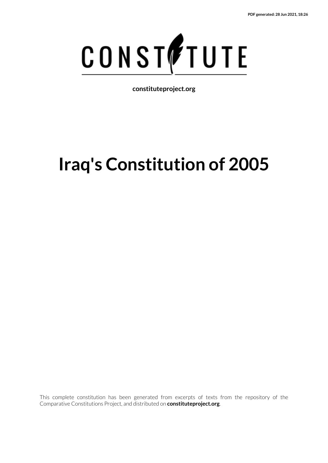

**constituteproject.org**

# **Iraq's Constitution of 2005**

This complete constitution has been generated from excerpts of texts from the repository of the Comparative Constitutions Project, and distributed on **constituteproject.org**.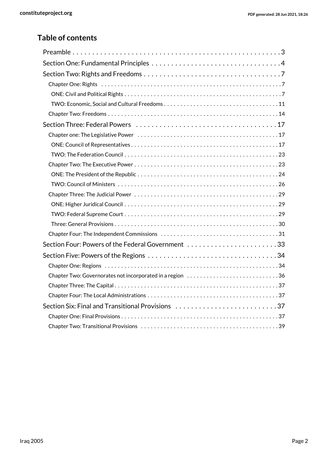# **Table of contents**

| Section Four: Powers of the Federal Government 33 |
|---------------------------------------------------|
|                                                   |
|                                                   |
|                                                   |
|                                                   |
|                                                   |
| Section Six: Final and Transitional Provisions 37 |
|                                                   |
|                                                   |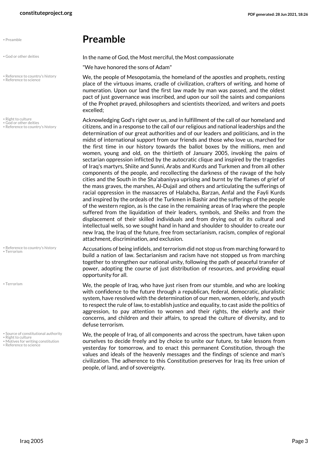<span id="page-2-3"></span>

| Preample |  |
|----------|--|

- 
- Reference to country's history • Reference to science
- Right to culture
- <span id="page-2-1"></span>• God or other deities • Reference to country's history

- Reference to country's history
- Terrorism

<span id="page-2-8"></span>• Terrorism

- <span id="page-2-6"></span>• Source of constitutional authority
- Right to culture Motives for writing constitution
- <span id="page-2-5"></span>• Reference to scien

# <span id="page-2-0"></span>• Preamble **Preamble**

In the name of God, the Most merciful, the Most compassionate • God or other deities

"We have honored the sons of Adam"

We, the people of Mesopotamia, the homeland of the apostles and prophets, resting place of the virtuous imams, cradle of civilization, crafters of writing, and home of numeration. Upon our land the first law made by man was passed, and the oldest pact of just governance was inscribed, and upon our soil the saints and companions of the Prophet prayed, philosophers and scientists theorized, and writers and poets excelled;

Acknowledging God's right over us, and in fulfillment of the call of our homeland and citizens, and in a response to the call of our religious and national leaderships and the determination of our great authorities and of our leaders and politicians, and in the midst of international support from our friends and those who love us, marched for the first time in our history towards the ballot boxes by the millions, men and women, young and old, on the thirtieth of January 2005, invoking the pains of sectarian oppression inflicted by the autocratic clique and inspired by the tragedies of Iraq's martyrs, Shiite and Sunni, Arabs and Kurds and Turkmen and from all other components of the people, and recollecting the darkness of the ravage of the holy cities and the South in the Sha'abaniyya uprising and burnt by the flames of grief of the mass graves, the marshes, Al-Dujail and others and articulating the sufferings of racial oppression in the massacres of Halabcha, Barzan, Anfal and the Fayli Kurds and inspired by the ordeals of the Turkmen in Bashir and the sufferings of the people of the western region, as is the case in the remaining areas of Iraq where the people suffered from the liquidation of their leaders, symbols, and Sheiks and from the displacement of their skilled individuals and from drying out of its cultural and intellectual wells, so we sought hand in hand and shoulder to shoulder to create our new Iraq, the Iraq of the future, free from sectarianism, racism, complex of regional attachment, discrimination, and exclusion.

<span id="page-2-4"></span>Accusations of being infidels, and terrorism did not stop us from marching forward to build a nation of law. Sectarianism and racism have not stopped us from marching together to strengthen our national unity, following the path of peaceful transfer of power, adopting the course of just distribution of resources, and providing equal opportunity for all.

We, the people of Iraq, who have just risen from our stumble, and who are looking with confidence to the future through a republican, federal, democratic, pluralistic system, have resolved with the determination of our men, women, elderly, and youth to respect the rule of law, to establish justice and equality, to cast aside the politics of aggression, to pay attention to women and their rights, the elderly and their concerns, and children and their affairs, to spread the culture of diversity, and to defuse terrorism.

<span id="page-2-7"></span><span id="page-2-2"></span>We, the people of Iraq, of all components and across the spectrum, have taken upon ourselves to decide freely and by choice to unite our future, to take lessons from yesterday for tomorrow, and to enact this permanent Constitution, through the values and ideals of the heavenly messages and the findings of science and man's civilization. The adherence to this Constitution preserves for Iraq its free union of people, of land, and of sovereignty.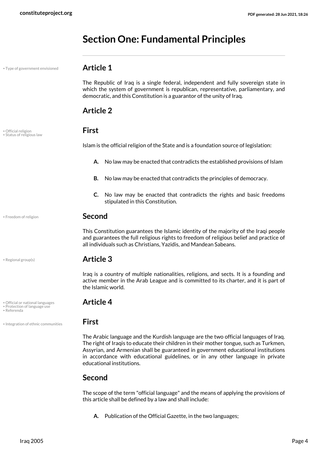# <span id="page-3-0"></span>**Section One: Fundamental Principles**

• Type of government envisioned **Article 1**

<span id="page-3-9"></span>The Republic of Iraq is a single federal, independent and fully sovereign state in which the system of government is republican, representative, parliamentary, and democratic, and this Constitution is a guarantor of the unity of Iraq.

### **Article 2**

<span id="page-3-8"></span><span id="page-3-4"></span>• Official religion **First** • Status of religious law

Islam is the official religion of the State and is a foundation source of legislation:

- **A.** No law may be enacted that contradicts the established provisions of Islam
- **B.** No law may be enacted that contradicts the principles of democracy.
- **C.** No law may be enacted that contradicts the rights and basic freedoms stipulated in this Constitution.

#### • Freedom of religion **Second**

This Constitution guarantees the Islamic identity of the majority of the Iraqi people and guarantees the full religious rights to freedom of religious belief and practice of all individuals such as Christians, Yazidis, and Mandean Sabeans.

### <span id="page-3-7"></span>• Regional group(s) **Article 3**

<span id="page-3-3"></span>Iraq is a country of multiple nationalities, religions, and sects. It is a founding and active member in the Arab League and is committed to its charter, and it is part of the Islamic world.

<span id="page-3-5"></span><span id="page-3-2"></span>The Arabic language and the Kurdish language are the two official languages of Iraq. The right of Iraqis to educate their children in their mother tongue, such as Turkmen, Assyrian, and Armenian shall be guaranteed in government educational institutions in accordance with educational guidelines, or in any other language in private educational institutions.

### **Second**

The scope of the term "official language" and the means of applying the provisions of this article shall be defined by a law and shall include:

**A.** Publication of the Official Gazette, in the two languages;

<span id="page-3-1"></span>

• Official or national languages **Article 4** • Protection of language use • Referenda

<span id="page-3-6"></span>

• Integration of ethnic communities **First**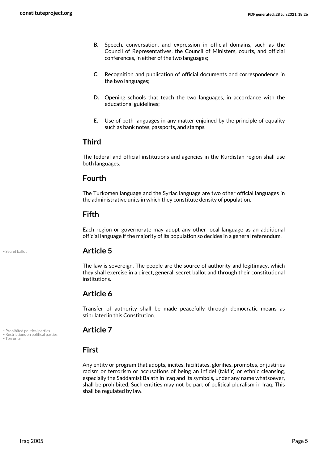- **B.** Speech, conversation, and expression in official domains, such as the Council of Representatives, the Council of Ministers, courts, and official conferences, in either of the two languages;
- **C.** Recognition and publication of official documents and correspondence in the two languages;
- **D.** Opening schools that teach the two languages, in accordance with the educational guidelines;
- **E.** Use of both languages in any matter enjoined by the principle of equality such as bank notes, passports, and stamps.

### **Third**

The federal and official institutions and agencies in the Kurdistan region shall use both languages.

# **Fourth**

The Turkomen language and the Syriac language are two other official languages in the administrative units in which they constitute density of population.

# **Fifth**

Each region or governorate may adopt any other local language as an additional official language if the majority of its population so decides in a general referendum.

<span id="page-4-2"></span>• Secret ballot **Article 5**

The law is sovereign. The people are the source of authority and legitimacy, which they shall exercise in a direct, general, secret ballot and through their constitutional institutions.

# **Article 6**

Transfer of authority shall be made peacefully through democratic means as stipulated in this Constitution.

• Prohibited political parties **Article 7** • Restrictions on political parties

<span id="page-4-3"></span>• Terrorism

# <span id="page-4-1"></span><span id="page-4-0"></span>**First**

Any entity or program that adopts, incites, facilitates, glorifies, promotes, or justifies racism or terrorism or accusations of being an infidel (takfir) or ethnic cleansing, especially the Saddamist Ba'ath in Iraq and its symbols, under any name whatsoever, shall be prohibited. Such entities may not be part of political pluralism in Iraq. This shall be regulated by law.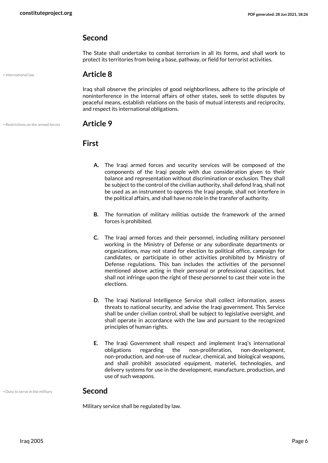#### **Second**

The State shall undertake to combat terrorism in all its forms, and shall work to protect its territories from being a base, pathway, or field for terrorist activities.

#### <span id="page-5-1"></span>• International law **Article 8**

Iraq shall observe the principles of good neighborliness, adhere to the principle of noninterference in the internal affairs of other states, seek to settle disputes by peaceful means, establish relations on the basis of mutual interests and reciprocity, and respect its international obligations.

• Restrictions on the armed forces **Article 9** 

#### <span id="page-5-2"></span>**First**

- **A.** The Iraqi armed forces and security services will be composed of the components of the Iraqi people with due consideration given to their balance and representation without discrimination or exclusion. They shall be subject to the control of the civilian authority, shall defend Iraq, shall not be used as an instrument to oppress the Iraqi people, shall not interfere in the political affairs, and shall have no role in the transfer of authority.
- **B.** The formation of military militias outside the framework of the armed forces is prohibited.
- **C.** The Iraqi armed forces and their personnel, including military personnel working in the Ministry of Defense or any subordinate departments or organizations, may not stand for election to political office, campaign for candidates, or participate in other activities prohibited by Ministry of Defense regulations. This ban includes the activities of the personnel mentioned above acting in their personal or professional capacities, but shall not infringe upon the right of these personnel to cast their vote in the elections.
- **D.** The Iraqi National Intelligence Service shall collect information, assess threats to national security, and advise the Iraqi government. This Service shall be under civilian control, shall be subject to legislative oversight, and shall operate in accordance with the law and pursuant to the recognized principles of human rights.
- **E.** The Iraqi Government shall respect and implement Iraq's international obligations regarding the non-proliferation, non-development, non-production, and non-use of nuclear, chemical, and biological weapons, and shall prohibit associated equipment, materiel, technologies, and delivery systems for use in the development, manufacture, production, and use of such weapons.

• Duty to serve in the military **Second**

<span id="page-5-0"></span>Military service shall be regulated by law.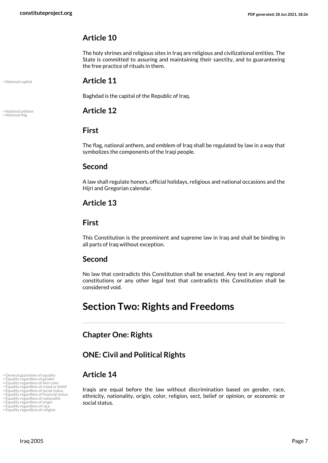## **Article 10**

The holy shrines and religious sites in Iraq are religious and civilizational entities. The State is committed to assuring and maintaining their sanctity, and to guaranteeing the free practice of rituals in them.

<span id="page-6-14"></span>

#### • National capital **Article 11**

Baghdad is the capital of the Republic of Iraq.

<span id="page-6-15"></span><span id="page-6-13"></span>• National anthem **Article 12** • National flag

### **First**

The flag, national anthem, and emblem of Iraq shall be regulated by law in a way that symbolizes the components of the Iraqi people.

### **Second**

A law shall regulate honors, official holidays, religious and national occasions and the Hijri and Gregorian calendar.

# **Article 13**

#### **First**

This Constitution is the preeminent and supreme law in Iraq and shall be binding in all parts of Iraq without exception.

# **Second**

No law that contradicts this Constitution shall be enacted. Any text in any regional constitutions or any other legal text that contradicts this Constitution shall be considered void.

# <span id="page-6-0"></span>**Section Two: Rights and Freedoms**

# <span id="page-6-1"></span>**Chapter One: Rights**

# <span id="page-6-2"></span>**ONE: Civil and Political Rights**

• General guarantee of equality **Article 14** • Equality regardless of gender • Equality regardless of skin color

- 
- Equality regardless of creed or belief Equality regardless of social status
- Equality regardless of financial status • Equality regardless of nationality
- 
- Equality regardless of origin Equality regardless of race • Equality regardless of religion

<span id="page-6-12"></span><span id="page-6-11"></span><span id="page-6-10"></span><span id="page-6-9"></span><span id="page-6-8"></span><span id="page-6-7"></span><span id="page-6-6"></span><span id="page-6-5"></span><span id="page-6-4"></span><span id="page-6-3"></span>Iraqis are equal before the law without discrimination based on gender, race, ethnicity, nationality, origin, color, religion, sect, belief or opinion, or economic or social status.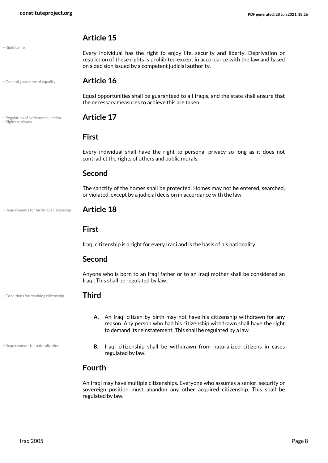### **Article 15**

Every individual has the right to enjoy life, security and liberty. Deprivation or restriction of these rights is prohibited except in accordance with the law and based on a decision issued by a competent judicial authority.

• General guarantee of equality **Article 16**

<span id="page-7-5"></span>• Right to life

<span id="page-7-1"></span>Equal opportunities shall be guaranteed to all Iraqis, and the state shall ensure that the necessary measures to achieve this are taken.

<span id="page-7-6"></span>• Regulation of evidence collection **Article 17** • Right to privacy

# <span id="page-7-2"></span>**First**

Every individual shall have the right to personal privacy so long as it does not contradict the rights of others and public morals.

#### **Second**

The sanctity of the homes shall be protected. Homes may not be entered, searched, or violated, except by a judicial decision in accordance with the law.

• Requirements for birthright citizenship **Article 18**

# <span id="page-7-3"></span>**First**

Iraqi citizenship is a right for every Iraqi and is the basis of his nationality.

### **Second**

<span id="page-7-0"></span>Anyone who is born to an Iraqi father or to an Iraqi mother shall be considered an Iraqi. This shall be regulated by law.

#### • Conditions for revoking citizenship **Third**

**A.** An Iraqi citizen by birth may not have his citizenship withdrawn for any reason. Any person who had his citizenship withdrawn shall have the right to demand its reinstatement. This shall be regulated by a law.

• Requirements for naturalization

**B.** Iraqi citizenship shall be withdrawn from naturalized citizens in cases regulated by law.

# <span id="page-7-4"></span>**Fourth**

An Iraqi may have multiple citizenships. Everyone who assumes a senior, security or sovereign position must abandon any other acquired citizenship. This shall be regulated by law.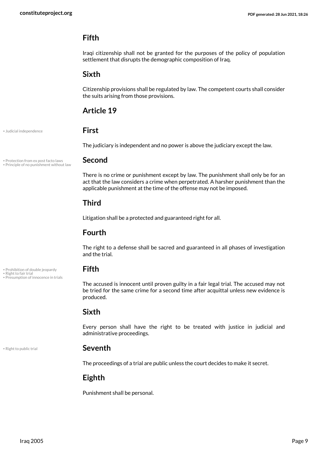### **Fifth**

Iraqi citizenship shall not be granted for the purposes of the policy of population settlement that disrupts the demographic composition of Iraq.

### **Sixth**

Citizenship provisions shall be regulated by law. The competent courts shall consider the suits arising from those provisions.

### **Article 19**

<span id="page-8-0"></span>• Judicial independence **First**

<span id="page-8-5"></span>• Right to fair trial

• Presumption of innocence in trials

The judiciary is independent and no power is above the judiciary except the law.

• Protection from ex post facto laws **Second** • Principle of no punishment without law

<span id="page-8-4"></span><span id="page-8-2"></span>There is no crime or punishment except by law. The punishment shall only be for an act that the law considers a crime when perpetrated. A harsher punishment than the applicable punishment at the time of the offense may not be imposed.

# **Third**

Litigation shall be a protected and guaranteed right for all.

# **Fourth**

The right to a defense shall be sacred and guaranteed in all phases of investigation and the trial.

### • Prohibition of double jeopardy **Fifth**

<span id="page-8-3"></span><span id="page-8-1"></span>The accused is innocent until proven guilty in a fair legal trial. The accused may not be tried for the same crime for a second time after acquittal unless new evidence is produced.

# **Sixth**

Every person shall have the right to be treated with justice in judicial and administrative proceedings.

#### <span id="page-8-6"></span>• Right to public trial **Seventh**

The proceedings of a trial are public unless the court decides to make it secret.

# **Eighth**

Punishment shall be personal.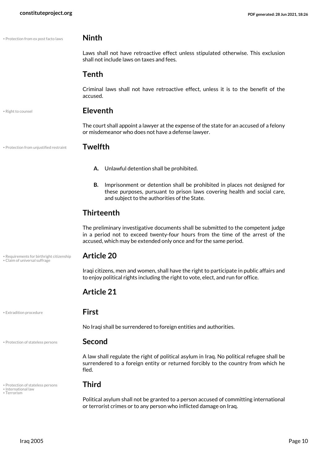#### • Protection from ex post facto laws **Ninth**

<span id="page-9-3"></span>Laws shall not have retroactive effect unless stipulated otherwise. This exclusion shall not include laws on taxes and fees.

### **Tenth**

Criminal laws shall not have retroactive effect, unless it is to the benefit of the accused.

<span id="page-9-7"></span>• Right to counsel **Eleventh**

<span id="page-9-4"></span>The court shall appoint a lawyer at the expense of the state for an accused of a felony or misdemeanor who does not have a defense lawyer.

• Protection from unjustified restraint **Twelfth**

- **A.** Unlawful detention shall be prohibited.
- **B.** Imprisonment or detention shall be prohibited in places not designed for these purposes, pursuant to prison laws covering health and social care, and subject to the authorities of the State.

### **Thirteenth**

The preliminary investigative documents shall be submitted to the competent judge in a period not to exceed twenty-four hours from the time of the arrest of the accused, which may be extended only once and for the same period.

• Requirements for birthright citizenship **Article 20** • Claim of universal suffrage

<span id="page-9-6"></span><span id="page-9-0"></span>Iraqi citizens, men and women, shall have the right to participate in public affairs and to enjoy political rights including the right to vote, elect, and run for office.

# **Article 21**

<span id="page-9-1"></span>• Extradition procedure **First**

• Protection of stateless persons **Second**

A law shall regulate the right of political asylum in Iraq. No political refugee shall be surrendered to a foreign entity or returned forcibly to the country from which he fled.

No Iraqi shall be surrendered to foreign entities and authorities.

<span id="page-9-8"></span><span id="page-9-2"></span>• Protection of stateless persons **Third** • International law • Terrorism

<span id="page-9-5"></span>Political asylum shall not be granted to a person accused of committing international or terrorist crimes or to any person who inflicted damage on Iraq.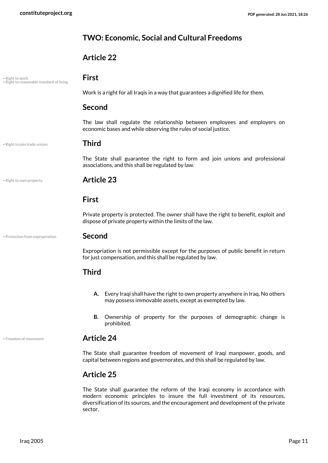# <span id="page-10-0"></span>**TWO: Economic, Social and Cultural Freedoms**

# **Article 22**

<span id="page-10-6"></span>• Right to work **First** • Right to reasonable standard of living

<span id="page-10-5"></span>Work is a right for all Iraqis in a way that guarantees a dignified life for them.

#### **Second**

The law shall regulate the relationship between employees and employers on economic bases and while observing the rules of social justice.

• Right to join trade unions **Third**

<span id="page-10-3"></span>The State shall guarantee the right to form and join unions and professional associations, and this shall be regulated by law.

<span id="page-10-4"></span>• Right to own property **Article 23**

# **First**

Private property is protected. The owner shall have the right to benefit, exploit and dispose of private property within the limits of the law.

• Protection from expropriation **Second**

<span id="page-10-2"></span>Expropriation is not permissible except for the purposes of public benefit in return for just compensation, and this shall be regulated by law.

# **Third**

- **A.** Every Iraqi shall have the right to own property anywhere in Iraq. No others may possess immovable assets, except as exempted by law.
- **B.** Ownership of property for the purposes of demographic change is prohibited.

### <span id="page-10-1"></span>• Freedom of movement **Article 24**

The State shall guarantee freedom of movement of Iraqi manpower, goods, and capital between regions and governorates, and this shall be regulated by law.

# **Article 25**

The State shall guarantee the reform of the Iraqi economy in accordance with modern economic principles to insure the full investment of its resources, diversification of its sources, and the encouragement and development of the private sector.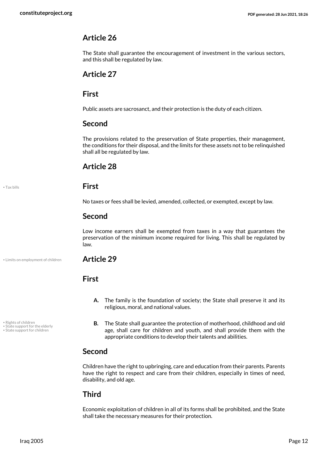# **Article 26**

The State shall guarantee the encouragement of investment in the various sectors, and this shall be regulated by law.

# **Article 27**

# **First**

Public assets are sacrosanct, and their protection is the duty of each citizen.

# **Second**

The provisions related to the preservation of State properties, their management, the conditions for their disposal, and the limits for these assets not to be relinquished shall all be regulated by law.

# **Article 28**

### • Tax bills **First**

No taxes or fees shall be levied, amended, collected, or exempted, except by law.

# **Second**

Low income earners shall be exempted from taxes in a way that guarantees the preservation of the minimum income required for living. This shall be regulated by law.

#### • Limits on employment of children **Article 29**

# <span id="page-11-0"></span>**First**

- **A.** The family is the foundation of society; the State shall preserve it and its religious, moral, and national values.
- **B.** The State shall guarantee the protection of motherhood, childhood and old age, shall care for children and youth, and shall provide them with the appropriate conditions to develop their talents and abilities.

# <span id="page-11-3"></span><span id="page-11-2"></span>**Second**

Children have the right to upbringing, care and education from their parents. Parents have the right to respect and care from their children, especially in times of need, disability, and old age.

# **Third**

Economic exploitation of children in all of its forms shall be prohibited, and the State shall take the necessary measures for their protection.

<span id="page-11-4"></span>

<span id="page-11-1"></span>• Rights of children

• State support for the elderly • State support for children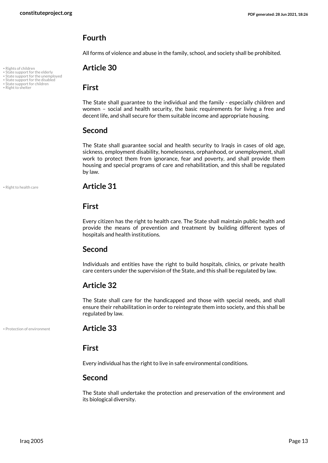### **Fourth**

<span id="page-12-7"></span><span id="page-12-6"></span>All forms of violence and abuse in the family, school, and society shall be prohibited.

# <span id="page-12-3"></span>• Rights of children **Article 30**<br>• State support for the elderly<br>• State support for the disabled **COM**

# <span id="page-12-2"></span>• State support for children • Right to shelter **First**

<span id="page-12-5"></span><span id="page-12-4"></span>The State shall guarantee to the individual and the family - especially children and women – social and health security, the basic requirements for living a free and decent life, and shall secure for them suitable income and appropriate housing.

### **Second**

The State shall guarantee social and health security to Iraqis in cases of old age, sickness, employment disability, homelessness, orphanhood, or unemployment, shall work to protect them from ignorance, fear and poverty, and shall provide them housing and special programs of care and rehabilitation, and this shall be regulated by law.

#### <span id="page-12-1"></span>• Right to health care **Article 31**

# **First**

Every citizen has the right to health care. The State shall maintain public health and provide the means of prevention and treatment by building different types of hospitals and health institutions.

### **Second**

Individuals and entities have the right to build hospitals, clinics, or private health care centers under the supervision of the State, and this shall be regulated by law.

### **Article 32**

The State shall care for the handicapped and those with special needs, and shall ensure their rehabilitation in order to reintegrate them into society, and this shall be regulated by law.

<span id="page-12-0"></span>

#### **First**

Every individual has the right to live in safe environmental conditions.

#### **Second**

The State shall undertake the protection and preservation of the environment and its biological diversity.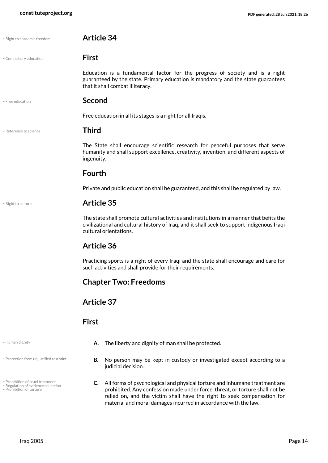<span id="page-13-10"></span><span id="page-13-9"></span><span id="page-13-7"></span><span id="page-13-2"></span><span id="page-13-1"></span>

| . Right to academic freedom             | <b>Article 34</b>                                                                                                                                                                                               |
|-----------------------------------------|-----------------------------------------------------------------------------------------------------------------------------------------------------------------------------------------------------------------|
| • Compulsory education                  | <b>First</b>                                                                                                                                                                                                    |
|                                         | Education is a fundamental factor for the progress of society and is a right<br>guaranteed by the state. Primary education is mandatory and the state guarantees<br>that it shall combat illiteracy.            |
| · Free education                        | Second                                                                                                                                                                                                          |
|                                         | Free education in all its stages is a right for all Iraqis.                                                                                                                                                     |
| · Reference to science                  | <b>Third</b>                                                                                                                                                                                                    |
|                                         | The State shall encourage scientific research for peaceful purposes that serve<br>humanity and shall support excellence, creativity, invention, and different aspects of<br>ingenuity.                          |
|                                         | Fourth                                                                                                                                                                                                          |
|                                         | Private and public education shall be guaranteed, and this shall be regulated by law.                                                                                                                           |
| • Right to culture                      | <b>Article 35</b>                                                                                                                                                                                               |
|                                         | The state shall promote cultural activities and institutions in a manner that befits the<br>civilizational and cultural history of Iraq, and it shall seek to support indigenous Iraq<br>cultural orientations. |
|                                         | <b>Article 36</b>                                                                                                                                                                                               |
|                                         | Practicing sports is a right of every Iraqi and the state shall encourage and care for<br>such activities and shall provide for their requirements.                                                             |
|                                         | <b>Chapter Two: Freedoms</b>                                                                                                                                                                                    |
|                                         | <b>Article 37</b>                                                                                                                                                                                               |
|                                         | <b>First</b>                                                                                                                                                                                                    |
| · Human dignity                         | The liberty and dignity of man shall be protected.<br>А.                                                                                                                                                        |
| • Protection from unjustified restraint | No person may be kept in custody or investigated except according to a<br>В.<br>judicial decision.                                                                                                              |

<span id="page-13-8"></span><span id="page-13-6"></span><span id="page-13-4"></span><span id="page-13-0"></span>**C.** All forms of psychological and physical torture and inhumane treatment are prohibited. Any confession made under force, threat, or torture shall not be relied on, and the victim shall have the right to seek compensation for material and moral damages incurred in accordance with the law.

<span id="page-13-5"></span><span id="page-13-3"></span>• Prohibition of cruel treatment • Regulation of evidence collection • Prohibition of torture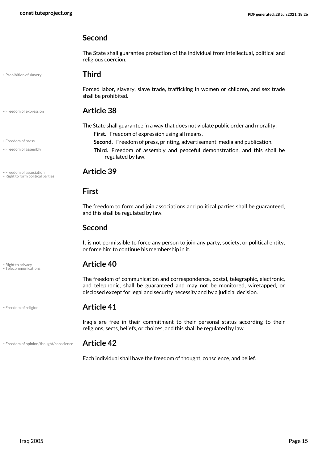### **Second**

The State shall guarantee protection of the individual from intellectual, political and religious coercion.

<span id="page-14-6"></span>• Prohibition of slavery **Third**

• Freedom of expression **Article 38**

<span id="page-14-4"></span><span id="page-14-0"></span>

• Freedom of assembly

<span id="page-14-1"></span>• Freedom of association **Article 39** 

• Right to privacy **Article 40** • Telecommunications

<span id="page-14-9"></span><span id="page-14-8"></span>

<span id="page-14-5"></span>

### • Freedom of religion **Article 41**

Iraqis are free in their commitment to their personal status according to their religions, sects, beliefs, or choices, and this shall be regulated by law.

• Freedom of opinion/thought/conscience **Article 42**

<span id="page-14-3"></span>

Each individual shall have the freedom of thought, conscience, and belief.

Iraq 2005 Page 15

Forced labor, slavery, slave trade, trafficking in women or children, and sex trade shall be prohibited.

<span id="page-14-2"></span>The State shall guarantee in a way that does not violate public order and morality: **First.** Freedom of expression using all means.

- **Second.** Freedom of press **Second.** Freedom of press, printing, advertisement, media and publication.
	- **Third.** Freedom of assembly and peaceful demonstration, and this shall be regulated by law.

# <span id="page-14-7"></span>**First**

The freedom to form and join associations and political parties shall be guaranteed, and this shall be regulated by law.

# **Second**

It is not permissible to force any person to join any party, society, or political entity, or force him to continue his membership in it.

The freedom of communication and correspondence, postal, telegraphic, electronic, and telephonic, shall be guaranteed and may not be monitored, wiretapped, or disclosed except for legal and security necessity and by a judicial decision.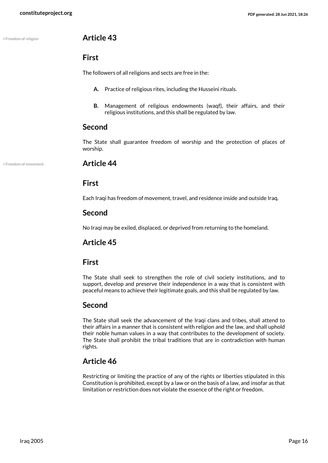<span id="page-15-1"></span>

#### • Freedom of religion **Article 43**

# **First**

The followers of all religions and sects are free in the:

- **A.** Practice of religious rites, including the Husseini rituals.
- **B.** Management of religious endowments (waqf), their affairs, and their religious institutions, and this shall be regulated by law.

### **Second**

The State shall guarantee freedom of worship and the protection of places of worship.

<span id="page-15-0"></span>

• Freedom of movement **Article 44**

### **First**

Each Iraqi has freedom of movement, travel, and residence inside and outside Iraq.

### **Second**

No Iraqi may be exiled, displaced, or deprived from returning to the homeland.

# **Article 45**

### **First**

The State shall seek to strengthen the role of civil society institutions, and to support, develop and preserve their independence in a way that is consistent with peaceful means to achieve their legitimate goals, and this shall be regulated by law.

# **Second**

The State shall seek the advancement of the Iraqi clans and tribes, shall attend to their affairs in a manner that is consistent with religion and the law, and shall uphold their noble human values in a way that contributes to the development of society. The State shall prohibit the tribal traditions that are in contradiction with human rights.

# **Article 46**

Restricting or limiting the practice of any of the rights or liberties stipulated in this Constitution is prohibited, except by a law or on the basis of a law, and insofar as that limitation or restriction does not violate the essence of the right or freedom.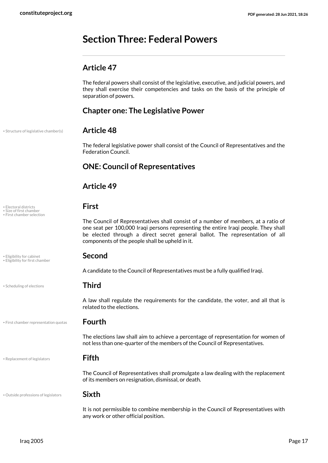# <span id="page-16-0"></span>**Section Three: Federal Powers**

# **Article 47**

The federal powers shall consist of the legislative, executive, and judicial powers, and they shall exercise their competencies and tasks on the basis of the principle of separation of powers.

# <span id="page-16-1"></span>**Chapter one: The Legislative Power**

• Structure of legislative chamber(s) **Article 48**

<span id="page-16-12"></span>The federal legislative power shall consist of the Council of Representatives and the Federation Council.

<span id="page-16-7"></span>The Council of Representatives shall consist of a number of members, at a ratio of one seat per 100,000 Iraqi persons representing the entire Iraqi people. They shall be elected through a direct secret general ballot. The representation of all

<span id="page-16-10"></span><span id="page-16-5"></span>A candidate to the Council of Representatives must be a fully qualified Iraqi.

# <span id="page-16-2"></span>**ONE: Council of Representatives**

components of the people shall be upheld in it.

# **Article 49**

<span id="page-16-11"></span><span id="page-16-3"></span>

| • Electoral districts     | <b>First</b> |
|---------------------------|--------------|
| • Size of first chamber   |              |
| • First chamber selection |              |

<span id="page-16-4"></span>• Eligibility for cabinet **Second** • Eligibility for first chamber

• Scheduling of elections **Third**

• First chamber representation quotas **Fourth**

<span id="page-16-6"></span>

related to the elections.

The elections law shall aim to achieve a percentage of representation for women of not less than one-quarter of the members of the Council of Representatives.

A law shall regulate the requirements for the candidate, the voter, and all that is

• Replacement of legislators **Fifth**

<span id="page-16-9"></span>The Council of Representatives shall promulgate a law dealing with the replacement of its members on resignation, dismissal, or death.

• Outside professions of legislators **Sixth**

<span id="page-16-8"></span>

It is not permissible to combine membership in the Council of Representatives with any work or other official position.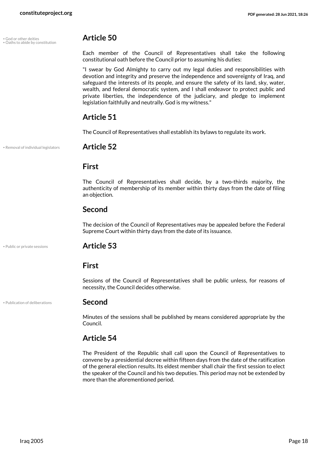<span id="page-17-0"></span>

| God or other deities           |
|--------------------------------|
| Oaths to abide by constitution |

#### <span id="page-17-1"></span>Article 50

Each member of the Council of Representatives shall take the following constitutional oath before the Council prior to assuming his duties:

"I swear by God Almighty to carry out my legal duties and responsibilities with devotion and integrity and preserve the independence and sovereignty of Iraq, and safeguard the interests of its people, and ensure the safety of its land, sky, water, wealth, and federal democratic system, and I shall endeavor to protect public and private liberties, the independence of the judiciary, and pledge to implement legislation faithfully and neutrally. God is my witness."

#### **Article 51**

<span id="page-17-4"></span>The Council of Representatives shall establish its bylaws to regulate its work.

• Removal of individual legislators **Article 52**

### **First**

The Council of Representatives shall decide, by a two-thirds majority, the authenticity of membership of its member within thirty days from the date of filing an objection.

#### **Second**

The decision of the Council of Representatives may be appealed before the Federal Supreme Court within thirty days from the date of its issuance.

• Public or private sessions **Article 53**

### <span id="page-17-2"></span>**First**

Sessions of the Council of Representatives shall be public unless, for reasons of necessity, the Council decides otherwise.

• Publication of deliberations **Second**

<span id="page-17-3"></span>Minutes of the sessions shall be published by means considered appropriate by the Council.

# **Article 54**

The President of the Republic shall call upon the Council of Representatives to convene by a presidential decree within fifteen days from the date of the ratification of the general election results. Its eldest member shall chair the first session to elect the speaker of the Council and his two deputies. This period may not be extended by more than the aforementioned period.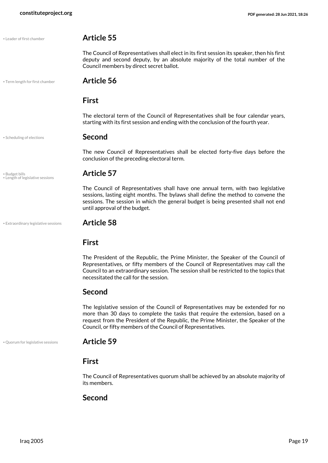• Leader of first chamber **Article 55**

<span id="page-18-2"></span>The Council of Representatives shall elect in its first session its speaker, then his first deputy and second deputy, by an absolute majority of the total number of the Council members by direct secret ballot.

• Term length for first chamber **Article 56**

# <span id="page-18-6"></span>**First**

The electoral term of the Council of Representatives shall be four calendar years, starting with its first session and ending with the conclusion of the fourth year.

#### • Scheduling of elections **Second**

<span id="page-18-5"></span>

The new Council of Representatives shall be elected forty-five days before the conclusion of the preceding electoral term.

# <span id="page-18-0"></span>• Budget bills **Article 57** • Length of legislative sessions

<span id="page-18-3"></span>The Council of Representatives shall have one annual term, with two legislative sessions, lasting eight months. The bylaws shall define the method to convene the sessions. The session in which the general budget is being presented shall not end until approval of the budget.

• Extraordinary legislative sessions **Article 58**

# <span id="page-18-1"></span>**First**

The President of the Republic, the Prime Minister, the Speaker of the Council of Representatives, or fifty members of the Council of Representatives may call the Council to an extraordinary session. The session shall be restricted to the topics that necessitated the call for the session.

# **Second**

The legislative session of the Council of Representatives may be extended for no more than 30 days to complete the tasks that require the extension, based on a request from the President of the Republic, the Prime Minister, the Speaker of the Council, or fifty members of the Council of Representatives.

• Quorum for legislative sessions **Article 59**

# <span id="page-18-4"></span>**First**

The Council of Representatives quorum shall be achieved by an absolute majority of its members.

### **Second**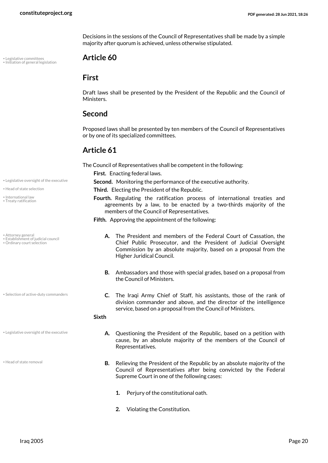Decisions in the sessions of the Council of Representatives shall be made by a simple majority after quorum is achieved, unless otherwise stipulated.

# <span id="page-19-6"></span>• Legislative committees **Article 60** • Initiation of general legislation

# <span id="page-19-4"></span>**First**

Draft laws shall be presented by the President of the Republic and the Council of Ministers.

# **Second**

Proposed laws shall be presented by ten members of the Council of Representatives or by one of its specialized committees.

# **Article 61**

The Council of Representatives shall be competent in the following:

**First.** Enacting federal laws.

**.** Legislative oversight of the executive **Second.** Monitoring the performance of the executive authority.

• Head of state selection **Third.** Electing the President of the Republic.

- **Fourth.** Regulating the ratification process of international treaties and agreements by a law, to be enacted by a two-thirds majority of the members of the Council of Representatives.
- <span id="page-19-1"></span>**Fifth.** Approving the appointment of the following:
	- **A.** The President and members of the Federal Court of Cassation, the Chief Public Prosecutor, and the President of Judicial Oversight Commission by an absolute majority, based on a proposal from the Higher Juridical Council.
	- **B.** Ambassadors and those with special grades, based on a proposal from the Council of Ministers.
	- **C.** The Iraqi Army Chief of Staff, his assistants, those of the rank of division commander and above, and the director of the intelligence service, based on a proposal from the Council of Ministers.

#### <span id="page-19-9"></span><span id="page-19-7"></span>**Sixth**

• Legislative oversight of the executive

<span id="page-19-2"></span>• Head of state removal

- **A.** Questioning the President of the Republic, based on a petition with cause, by an absolute majority of the members of the Council of Representatives.
- **B.** Relieving the President of the Republic by an absolute majority of the Council of Representatives after being convicted by the Federal Supreme Court in one of the following cases:
	- **1.** Perjury of the constitutional oath.
	- **2.** Violating the Constitution.

<span id="page-19-3"></span>

<span id="page-19-8"></span><span id="page-19-0"></span>• Attorney general • Establishment of judicial council • Ordinary court selection

• Selection of active-duty commanders

- 
- <span id="page-19-10"></span><span id="page-19-5"></span>• International law • Treaty ratification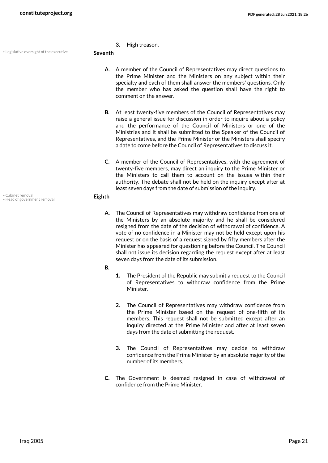• Legislative oversight of the executive **Seventh** 

<span id="page-20-1"></span>• Head of government removal

**3.** High treason.

- <span id="page-20-2"></span>**A.** A member of the Council of Representatives may direct questions to the Prime Minister and the Ministers on any subject within their specialty and each of them shall answer the members' questions. Only the member who has asked the question shall have the right to comment on the answer.
- **B.** At least twenty-five members of the Council of Representatives may raise a general issue for discussion in order to inquire about a policy and the performance of the Council of Ministers or one of the Ministries and it shall be submitted to the Speaker of the Council of Representatives, and the Prime Minister or the Ministers shall specify a date to come before the Council of Representatives to discuss it.
- **C.** A member of the Council of Representatives, with the agreement of twenty-five members, may direct an inquiry to the Prime Minister or the Ministers to call them to account on the issues within their authority. The debate shall not be held on the inquiry except after at least seven days from the date of submission of the inquiry.

#### <span id="page-20-0"></span>**Eighth** • Cabinet removal

**A.** The Council of Representatives may withdraw confidence from one of the Ministers by an absolute majority and he shall be considered resigned from the date of the decision of withdrawal of confidence. A vote of no confidence in a Minister may not be held except upon his request or on the basis of a request signed by fifty members after the Minister has appeared for questioning before the Council. The Council shall not issue its decision regarding the request except after at least seven days from the date of its submission.

#### **B.**

- **1.** The President of the Republic may submit a request to the Council of Representatives to withdraw confidence from the Prime Minister.
- **2.** The Council of Representatives may withdraw confidence from the Prime Minister based on the request of one-fifth of its members. This request shall not be submitted except after an inquiry directed at the Prime Minister and after at least seven days from the date of submitting the request.
- **3.** The Council of Representatives may decide to withdraw confidence from the Prime Minister by an absolute majority of the number of its members.
- **C.** The Government is deemed resigned in case of withdrawal of confidence from the Prime Minister.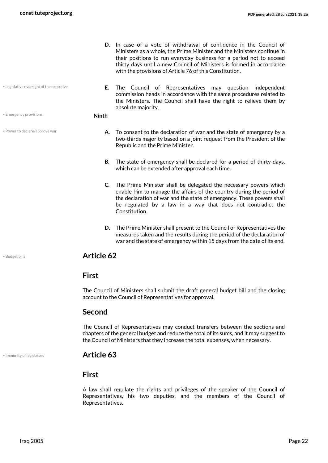<span id="page-21-4"></span><span id="page-21-3"></span><span id="page-21-1"></span>

|                                          |                   | D. In case of a vote of withdrawal of confidence in the Council of<br>Ministers as a whole, the Prime Minister and the Ministers continue in<br>their positions to run everyday business for a period not to exceed<br>thirty days until a new Council of Ministers is formed in accordance<br>with the provisions of Article 76 of this Constitution. |
|------------------------------------------|-------------------|--------------------------------------------------------------------------------------------------------------------------------------------------------------------------------------------------------------------------------------------------------------------------------------------------------------------------------------------------------|
| · Legislative oversight of the executive | Е.                | The Council of Representatives may question independent<br>commission heads in accordance with the same procedures related to<br>the Ministers. The Council shall have the right to relieve them by<br>absolute majority.                                                                                                                              |
| <b>Emergency provisions</b>              | <b>Ninth</b>      |                                                                                                                                                                                                                                                                                                                                                        |
| · Power to declare/approve war           | А.                | To consent to the declaration of war and the state of emergency by a<br>two-thirds majority based on a joint request from the President of the<br>Republic and the Prime Minister.                                                                                                                                                                     |
|                                          |                   | <b>B.</b> The state of emergency shall be declared for a period of thirty days,<br>which can be extended after approval each time.                                                                                                                                                                                                                     |
|                                          |                   | C. The Prime Minister shall be delegated the necessary powers which<br>enable him to manage the affairs of the country during the period of<br>the declaration of war and the state of emergency. These powers shall<br>be regulated by a law in a way that does not contradict the<br>Constitution.                                                   |
|                                          | D.                | The Prime Minister shall present to the Council of Representatives the<br>measures taken and the results during the period of the declaration of<br>war and the state of emergency within 15 days from the date of its end.                                                                                                                            |
| · Budget bills                           | <b>Article 62</b> |                                                                                                                                                                                                                                                                                                                                                        |
|                                          | <b>First</b>      |                                                                                                                                                                                                                                                                                                                                                        |
|                                          |                   | The Council of Ministers shall submit the draft general budget bill and the closing                                                                                                                                                                                                                                                                    |

<span id="page-21-0"></span>account to the Council of Representatives for approval.

**Second**

The Council of Representatives may conduct transfers between the sections and chapters of the general budget and reduce the total of its sums, and it may suggest to the Council of Ministers that they increase the total expenses, when necessary.

### <span id="page-21-2"></span>• Immunity of legislators **Article 63**

### **First**

A law shall regulate the rights and privileges of the speaker of the Council of Representatives, his two deputies, and the members of the Council of Representatives.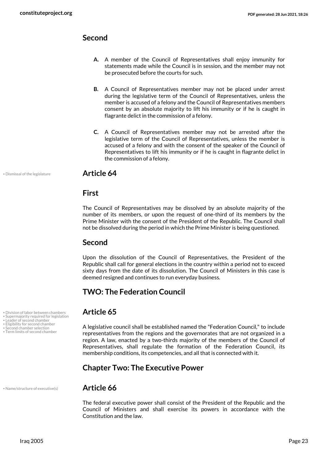# **Second**

- **A.** A member of the Council of Representatives shall enjoy immunity for statements made while the Council is in session, and the member may not be prosecuted before the courts for such.
- **B.** A Council of Representatives member may not be placed under arrest during the legislative term of the Council of Representatives, unless the member is accused of a felony and the Council of Representatives members consent by an absolute majority to lift his immunity or if he is caught in flagrante delict in the commission of a felony.
- **C.** A Council of Representatives member may not be arrested after the legislative term of the Council of Representatives, unless the member is accused of a felony and with the consent of the speaker of the Council of Representatives to lift his immunity or if he is caught in flagrante delict in the commission of a felony.

#### • Dismissal of the legislature **Article 64**

#### <span id="page-22-2"></span>**First**

The Council of Representatives may be dissolved by an absolute majority of the number of its members, or upon the request of one-third of its members by the Prime Minister with the consent of the President of the Republic. The Council shall not be dissolved during the period in which the Prime Minister is being questioned.

### **Second**

Upon the dissolution of the Council of Representatives, the President of the Republic shall call for general elections in the country within a period not to exceed sixty days from the date of its dissolution. The Council of Ministers in this case is deemed resigned and continues to run everyday business.

# <span id="page-22-0"></span>**TWO: The Federation Council**

- Eligibility for second chamber
- 
- Second chamber selection Term limits of second chamber

# • Division of labor between chambers **Article 65** • Supermajority required for legislation • Leader of second chamber

<span id="page-22-9"></span><span id="page-22-8"></span><span id="page-22-7"></span><span id="page-22-5"></span><span id="page-22-4"></span><span id="page-22-3"></span>A legislative council shall be established named the "Federation Council," to include representatives from the regions and the governorates that are not organized in a region. A law, enacted by a two-thirds majority of the members of the Council of Representatives, shall regulate the formation of the Federation Council, its membership conditions, its competencies, and all that is connected with it.

# <span id="page-22-1"></span>**Chapter Two: The Executive Power**

#### • Name/structure of executive(s) **Article 66**

<span id="page-22-6"></span>The federal executive power shall consist of the President of the Republic and the Council of Ministers and shall exercise its powers in accordance with the Constitution and the law.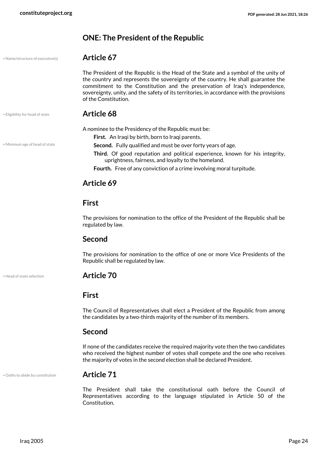# <span id="page-23-0"></span>**ONE: The President of the Republic**

#### • Name/structure of executive(s) **Article 67**

<span id="page-23-4"></span>The President of the Republic is the Head of the State and a symbol of the unity of the country and represents the sovereignty of the country. He shall guarantee the commitment to the Constitution and the preservation of Iraq's independence, sovereignty, unity, and the safety of its territories, in accordance with the provisions of the Constitution.

#### • Eligibility for head of state **Article 68**

<span id="page-23-3"></span><span id="page-23-1"></span>A nominee to the Presidency of the Republic must be:

- **First.** An Iragi by birth, born to Iragi parents.
- Minimum age of head of state **Second.** Fully qualified and must be over forty years of age.
	- **Third.** Of good reputation and political experience, known for his integrity, uprightness, fairness, and loyalty to the homeland.

**Fourth.** Free of any conviction of a crime involving moral turpitude.

# **Article 69**

### **First**

The provisions for nomination to the office of the President of the Republic shall be regulated by law.

### **Second**

The provisions for nomination to the office of one or more Vice Presidents of the Republic shall be regulated by law.

# <span id="page-23-2"></span>• Head of state selection **Article 70**

# **First**

The Council of Representatives shall elect a President of the Republic from among the candidates by a two-thirds majority of the number of its members.

# **Second**

If none of the candidates receive the required majority vote then the two candidates who received the highest number of votes shall compete and the one who receives the majority of votes in the second election shall be declared President.

• Oaths to abide by constitution **Article 71**

<span id="page-23-5"></span>The President shall take the constitutional oath before the Council of Representatives according to the language stipulated in Article 50 of the Constitution.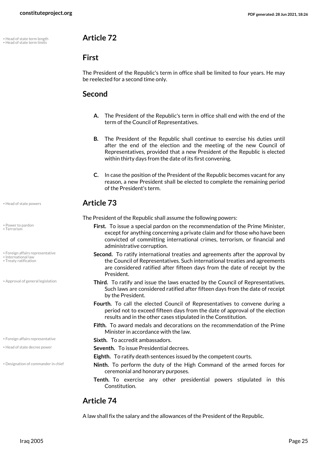• Head of state term length **Article 72** • Head of state term limits

# <span id="page-24-6"></span><span id="page-24-5"></span>**First**

The President of the Republic's term in office shall be limited to four years. He may be reelected for a second time only.

# **Second**

- **A.** The President of the Republic's term in office shall end with the end of the term of the Council of Representatives.
- **B.** The President of the Republic shall continue to exercise his duties until after the end of the election and the meeting of the new Council of Representatives, provided that a new President of the Republic is elected within thirty days from the date of its first convening.
- **C.** In case the position of the President of the Republic becomes vacant for any reason, a new President shall be elected to complete the remaining period of the President's term.

# <span id="page-24-4"></span>• Head of state powers **Article 73**

The President of the Republic shall assume the following powers:

- **First.** To issue a special pardon on the recommendation of the Prime Minister, except for anything concerning a private claim and for those who have been convicted of committing international crimes, terrorism, or financial and administrative corruption.
- **Second.** To ratify international treaties and agreements after the approval by the Council of Representatives. Such international treaties and agreements are considered ratified after fifteen days from the date of receipt by the President.
- <span id="page-24-0"></span>**Third.** To ratify and issue the laws enacted by the Council of Representatives. Such laws are considered ratified after fifteen days from the date of receipt by the President.
- **Fourth.** To call the elected Council of Representatives to convene during a period not to exceed fifteen days from the date of approval of the election results and in the other cases stipulated in the Constitution.
- <span id="page-24-3"></span><span id="page-24-2"></span>**Fifth.** To award medals and decorations on the recommendation of the Prime Minister in accordance with the law.
- **Sixth.** To accredit ambassadors. Foreign affairs representative
- Head of state decree power **Seventh.** To issue Presidential decrees.
	- **Eighth.** To ratify death sentences issued by the competent courts.
	- **Ninth.** To perform the duty of the High Command of the armed forces for ceremonial and honorary purposes.
	- **Tenth.** To exercise any other presidential powers stipulated in this Constitution.

# <span id="page-24-1"></span>**Article 74**

A law shall fix the salary and the allowances of the President of the Republic.

- <span id="page-24-9"></span><span id="page-24-8"></span>• Power to pardon • Terrorism
- Foreign affairs representative
- <span id="page-24-10"></span><span id="page-24-7"></span>• International law • Treaty ratification
- Approval of general legislation

- 
- 
- Designation of commander in chief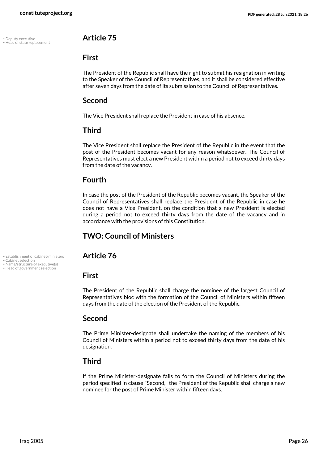<span id="page-25-2"></span>• Deputy executive **Article 75** • Head of state replacement

## <span id="page-25-5"></span>**First**

The President of the Republic shall have the right to submit his resignation in writing to the Speaker of the Council of Representatives, and it shall be considered effective after seven days from the date of its submission to the Council of Representatives.

# **Second**

The Vice President shall replace the President in case of his absence.

# **Third**

The Vice President shall replace the President of the Republic in the event that the post of the President becomes vacant for any reason whatsoever. The Council of Representatives must elect a new President within a period not to exceed thirty days from the date of the vacancy.

# **Fourth**

In case the post of the President of the Republic becomes vacant, the Speaker of the Council of Representatives shall replace the President of the Republic in case he does not have a Vice President, on the condition that a new President is elected during a period not to exceed thirty days from the date of the vacancy and in accordance with the provisions of this Constitution.

# <span id="page-25-0"></span>**TWO: Council of Ministers**

• Establishment of cabinet/ministers **Article 76**<br>• Cabinet selection<br>• Name/structure of executive(s)

<span id="page-25-1"></span>

• Head of government selection

# <span id="page-25-6"></span><span id="page-25-4"></span><span id="page-25-3"></span>**First**

The President of the Republic shall charge the nominee of the largest Council of Representatives bloc with the formation of the Council of Ministers within fifteen days from the date of the election of the President of the Republic.

# **Second**

The Prime Minister-designate shall undertake the naming of the members of his Council of Ministers within a period not to exceed thirty days from the date of his designation.

# **Third**

If the Prime Minister-designate fails to form the Council of Ministers during the period specified in clause "Second," the President of the Republic shall charge a new nominee for the post of Prime Minister within fifteen days.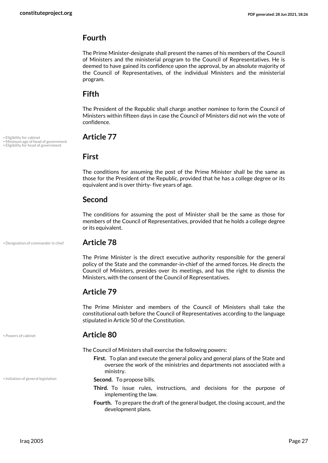#### **Fourth**

The Prime Minister-designate shall present the names of his members of the Council of Ministers and the ministerial program to the Council of Representatives. He is deemed to have gained its confidence upon the approval, by an absolute majority of the Council of Representatives, of the individual Ministers and the ministerial program.

## **Fifth**

The President of the Republic shall charge another nominee to form the Council of Ministers within fifteen days in case the Council of Ministers did not win the vote of confidence.

<span id="page-26-1"></span>

• Eligibility for cabinet<br>• Minimum age of head of government<br>• Eligibility for head of government

# <span id="page-26-4"></span><span id="page-26-2"></span>**First**

The conditions for assuming the post of the Prime Minister shall be the same as those for the President of the Republic, provided that he has a college degree or its equivalent and is over thirty- five years of age.

### **Second**

The conditions for assuming the post of Minister shall be the same as those for members of the Council of Representatives, provided that he holds a college degree or its equivalent.

• Designation of commander in chief **Article 78**

<span id="page-26-0"></span>The Prime Minister is the direct executive authority responsible for the general policy of the State and the commander-in-chief of the armed forces. He directs the Council of Ministers, presides over its meetings, and has the right to dismiss the Ministers, with the consent of the Council of Representatives.

# **Article 79**

The Prime Minister and members of the Council of Ministers shall take the constitutional oath before the Council of Representatives according to the language stipulated in Article 50 of the Constitution.

#### • Powers of cabinet **Article 80**

<span id="page-26-3"></span>The Council of Ministers shall exercise the following powers:

- **First.** To plan and execute the general policy and general plans of the State and oversee the work of the ministries and departments not associated with a ministry.
- Initiation of general legislation **Second.** To propose bills.
	- **Third.** To issue rules, instructions, and decisions for the purpose of implementing the law.
	- **Fourth.** To prepare the draft of the general budget, the closing account, and the development plans.

<span id="page-26-5"></span>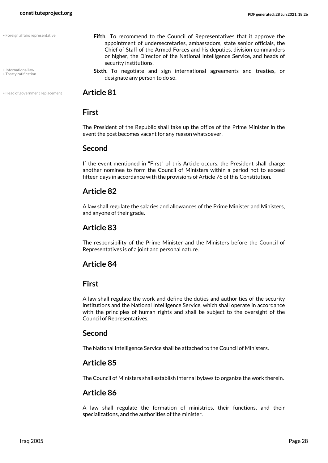• Foreign affairs representative

<span id="page-27-3"></span><span id="page-27-2"></span>• International law • Treaty ratification

- <span id="page-27-0"></span>**Fifth.** To recommend to the Council of Representatives that it approve the appointment of undersecretaries, ambassadors, state senior officials, the Chief of Staff of the Armed Forces and his deputies, division commanders or higher, the Director of the National Intelligence Service, and heads of security institutions.
- **Sixth.** To negotiate and sign international agreements and treaties, or designate any person to do so.

### <span id="page-27-1"></span>**First**

The President of the Republic shall take up the office of the Prime Minister in the event the post becomes vacant for any reason whatsoever.

# **Second**

If the event mentioned in "First" of this Article occurs, the President shall charge another nominee to form the Council of Ministers within a period not to exceed fifteen days in accordance with the provisions of Article 76 of this Constitution.

# **Article 82**

A law shall regulate the salaries and allowances of the Prime Minister and Ministers, and anyone of their grade.

# **Article 83**

The responsibility of the Prime Minister and the Ministers before the Council of Representatives is of a joint and personal nature.

# **Article 84**

# **First**

A law shall regulate the work and define the duties and authorities of the security institutions and the National Intelligence Service, which shall operate in accordance with the principles of human rights and shall be subject to the oversight of the Council of Representatives.

# **Second**

The National Intelligence Service shall be attached to the Council of Ministers.

# **Article 85**

The Council of Ministers shall establish internal bylaws to organize the work therein.

# **Article 86**

A law shall regulate the formation of ministries, their functions, and their specializations, and the authorities of the minister.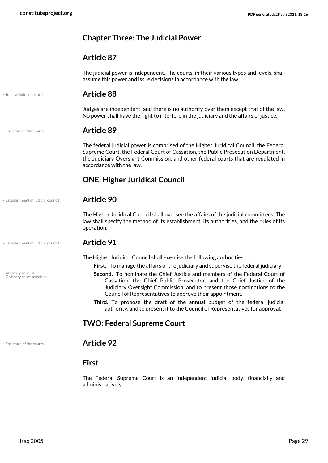<span id="page-28-5"></span><span id="page-28-0"></span>

|                                                  | <b>Chapter Three: The Judicial Power</b>                                                                                                                                                                                                                                                                                                                                                                                                                                                                                             |
|--------------------------------------------------|--------------------------------------------------------------------------------------------------------------------------------------------------------------------------------------------------------------------------------------------------------------------------------------------------------------------------------------------------------------------------------------------------------------------------------------------------------------------------------------------------------------------------------------|
|                                                  | <b>Article 87</b>                                                                                                                                                                                                                                                                                                                                                                                                                                                                                                                    |
|                                                  | The judicial power is independent. The courts, in their various types and levels, shall<br>assume this power and issue decisions in accordance with the law.                                                                                                                                                                                                                                                                                                                                                                         |
| · Judicial independence                          | <b>Article 88</b>                                                                                                                                                                                                                                                                                                                                                                                                                                                                                                                    |
|                                                  | Judges are independent, and there is no authority over them except that of the law.<br>No power shall have the right to interfere in the judiciary and the affairs of justice.                                                                                                                                                                                                                                                                                                                                                       |
| · Structure of the courts                        | <b>Article 89</b>                                                                                                                                                                                                                                                                                                                                                                                                                                                                                                                    |
|                                                  | The federal judicial power is comprised of the Higher Juridical Council, the Federal<br>Supreme Court, the Federal Court of Cassation, the Public Prosecution Department,<br>the Judiciary Oversight Commission, and other federal courts that are regulated in<br>accordance with the law.                                                                                                                                                                                                                                          |
|                                                  | <b>ONE: Higher Juridical Council</b>                                                                                                                                                                                                                                                                                                                                                                                                                                                                                                 |
| · Establishment of judicial council              | <b>Article 90</b>                                                                                                                                                                                                                                                                                                                                                                                                                                                                                                                    |
|                                                  | The Higher Juridical Council shall oversee the affairs of the judicial committees. The<br>law shall specify the method of its establishment, its authorities, and the rules of its<br>operation.                                                                                                                                                                                                                                                                                                                                     |
| · Establishment of judicial council              | <b>Article 91</b>                                                                                                                                                                                                                                                                                                                                                                                                                                                                                                                    |
| • Attorney general<br>• Ordinary court selection | The Higher Juridical Council shall exercise the following authorities:<br>First. To manage the affairs of the judiciary and supervise the federal judiciary.<br>Second. To nominate the Chief Justice and members of the Federal Court of<br>Cassation, the Chief Public Prosecutor, and the Chief Justice of the<br>Judiciary Oversight Commission, and to present those nominations to the<br>Council of Representatives to approve their appointment.<br>Third. To propose the draft of the annual budget of the federal judicial |
|                                                  | authority, and to present it to the Council of Representatives for approval.<br><b>TWO: Federal Supreme Court</b>                                                                                                                                                                                                                                                                                                                                                                                                                    |
|                                                  |                                                                                                                                                                                                                                                                                                                                                                                                                                                                                                                                      |

<span id="page-28-7"></span>

<span id="page-28-6"></span><span id="page-28-4"></span><span id="page-28-3"></span>• Structure of the courts **Article 92**

# <span id="page-28-2"></span><span id="page-28-1"></span>**First**

The Federal Supreme Court is an independent judicial body, financially and administratively.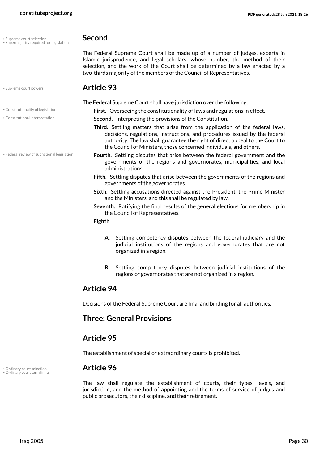• Supreme court selection **Second** • Supermajority required for legislation

<span id="page-29-8"></span><span id="page-29-6"></span>The Federal Supreme Court shall be made up of a number of judges, experts in Islamic jurisprudence, and legal scholars, whose number, the method of their selection, and the work of the Court shall be determined by a law enacted by a two-thirds majority of the members of the Council of Representatives.

### • Supreme court powers **Article 93**

<span id="page-29-7"></span><span id="page-29-3"></span><span id="page-29-2"></span><span id="page-29-1"></span>The Federal Supreme Court shall have jurisdiction over the following:

- Constitutionality of legislation **First.** Overseeing the constitutionality of laws and regulations in effect.
- Constitutional interpretation **Second.** Interpreting the provisions of the Constitution.
	- **Third.** Settling matters that arise from the application of the federal laws, decisions, regulations, instructions, and procedures issued by the federal authority. The law shall guarantee the right of direct appeal to the Court to the Council of Ministers, those concerned individuals, and others.
	- **Fourth.** Settling disputes that arise between the federal government and the governments of the regions and governorates, municipalities, and local administrations.
	- **Fifth.** Settling disputes that arise between the governments of the regions and governments of the governorates.
	- **Sixth.** Settling accusations directed against the President, the Prime Minister and the Ministers, and this shall be regulated by law.
	- **Seventh.** Ratifying the final results of the general elections for membership in the Council of Representatives.

#### **Eighth**

- **A.** Settling competency disputes between the federal judiciary and the judicial institutions of the regions and governorates that are not organized in a region.
- <span id="page-29-0"></span>**B.** Settling competency disputes between judicial institutions of the regions or governorates that are not organized in a region.

# **Article 94**

Decisions of the Federal Supreme Court are final and binding for all authorities.

### **Three: General Provisions**

# **Article 95**

The establishment of special or extraordinary courts is prohibited.

# • Ordinary court selection **Article 96** • Ordinary court term limits

<span id="page-29-5"></span><span id="page-29-4"></span>The law shall regulate the establishment of courts, their types, levels, and jurisdiction, and the method of appointing and the terms of service of judges and public prosecutors, their discipline, and their retirement.

- 
- 

• Federal review of subnational legislation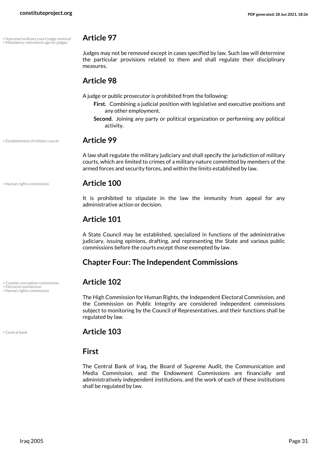• Supreme/ordinary court judge removal **Article 97** • Mandatory retirement age for judges

<span id="page-30-7"></span><span id="page-30-6"></span>Judges may not be removed except in cases specified by law. Such law will determine the particular provisions related to them and shall regulate their disciplinary measures.

# **Article 98**

A judge or public prosecutor is prohibited from the following:

- **First.** Combining a judicial position with legislative and executive positions and any other employment.
- **Second.** Joining any party or political organization or performing any political activity.

### • Establishment of military courts **Article 99**

<span id="page-30-4"></span>A law shall regulate the military judiciary and shall specify the jurisdiction of military courts, which are limited to crimes of a military nature committed by members of the armed forces and security forces, and within the limits established by law.

### • Human rights commission **Article 100**

It is prohibited to stipulate in the law the immunity from appeal for any administrative action or decision.

# **Article 101**

A State Council may be established, specialized in functions of the administrative judiciary, issuing opinions, drafting, and representing the State and various public commissions before the courts except those exempted by law.

# <span id="page-30-0"></span>**Chapter Four: The Independent Commissions**

# • Counter corruption commission **Article 102** • Electoral commission

<span id="page-30-5"></span><span id="page-30-2"></span>The High Commission for Human Rights, the Independent Electoral Commission, and the Commission on Public Integrity are considered independent commissions subject to monitoring by the Council of Representatives, and their functions shall be regulated by law.

# • Central bank **Article 103**

# **First**

The Central Bank of Iraq, the Board of Supreme Audit, the Communication and Media Commission, and the Endowment Commissions are financially and administratively independent institutions, and the work of each of these institutions shall be regulated by law.

<span id="page-30-3"></span>

• Human rights commission

<span id="page-30-1"></span>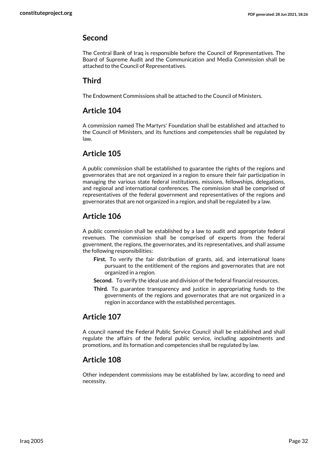## **Second**

The Central Bank of Iraq is responsible before the Council of Representatives. The Board of Supreme Audit and the Communication and Media Commission shall be attached to the Council of Representatives.

# **Third**

The Endowment Commissions shall be attached to the Council of Ministers.

# **Article 104**

A commission named The Martyrs' Foundation shall be established and attached to the Council of Ministers, and its functions and competencies shall be regulated by law.

# **Article 105**

A public commission shall be established to guarantee the rights of the regions and governorates that are not organized in a region to ensure their fair participation in managing the various state federal institutions, missions, fellowships, delegations, and regional and international conferences. The commission shall be comprised of representatives of the federal government and representatives of the regions and governorates that are not organized in a region, and shall be regulated by a law.

# **Article 106**

A public commission shall be established by a law to audit and appropriate federal revenues. The commission shall be comprised of experts from the federal government, the regions, the governorates, and its representatives, and shall assume the following responsibilities:

- **First.** To verify the fair distribution of grants, aid, and international loans pursuant to the entitlement of the regions and governorates that are not organized in a region.
- **Second.** To verify the ideal use and division of the federal financial resources.
- **Third.** To guarantee transparency and justice in appropriating funds to the governments of the regions and governorates that are not organized in a region in accordance with the established percentages.

# **Article 107**

A council named the Federal Public Service Council shall be established and shall regulate the affairs of the federal public service, including appointments and promotions, and its formation and competencies shall be regulated by law.

# **Article 108**

Other independent commissions may be established by law, according to need and necessity.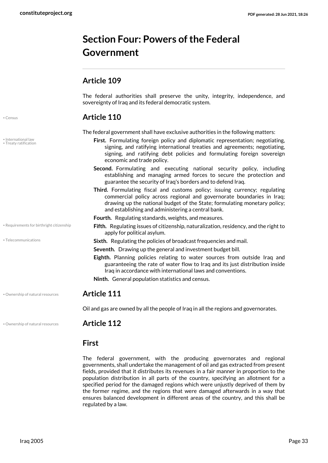# <span id="page-32-0"></span>**Section Four: Powers of the Federal Government**

# **Article 109**

The federal authorities shall preserve the unity, integrity, independence, and sovereignty of Iraq and its federal democratic system.

# <span id="page-32-1"></span>• Census **Article 110**

The federal government shall have exclusive authorities in the following matters:

- **First.** Formulating foreign policy and diplomatic representation; negotiating, signing, and ratifying international treaties and agreements; negotiating, signing, and ratifying debt policies and formulating foreign sovereign economic and trade policy.
- **Second.** Formulating and executing national security policy, including establishing and managing armed forces to secure the protection and guarantee the security of Iraq's borders and to defend Iraq.
- **Third.** Formulating fiscal and customs policy; issuing currency; regulating commercial policy across regional and governorate boundaries in Iraq; drawing up the national budget of the State; formulating monetary policy; and establishing and administering a central bank.
- **Fourth.** Regulating standards, weights, and measures.
- <span id="page-32-4"></span>**Fifth.** Regulating issues of citizenship, naturalization, residency, and the right to apply for political asylum.
- **Sixth.** Regulating the policies of broadcast frequencies and mail.
	- **Seventh.** Drawing up the general and investment budget bill.
	- **Eighth.** Planning policies relating to water sources from outside Iraq and guaranteeing the rate of water flow to Iraq and its just distribution inside Iraq in accordance with international laws and conventions.
	- **Ninth.** General population statistics and census.

# • Ownership of natural resources **Article 111**

<span id="page-32-3"></span>Oil and gas are owned by all the people of Iraq in all the regions and governorates.

• Ownership of natural resources **Article 112**

# **First**

The federal government, with the producing governorates and regional governments, shall undertake the management of oil and gas extracted from present fields, provided that it distributes its revenues in a fair manner in proportion to the population distribution in all parts of the country, specifying an allotment for a specified period for the damaged regions which were unjustly deprived of them by the former regime, and the regions that were damaged afterwards in a way that ensures balanced development in different areas of the country, and this shall be regulated by a law.

<span id="page-32-6"></span><span id="page-32-2"></span>• International law • Treaty ratification

• Requirements for birthright citizenship

<span id="page-32-5"></span>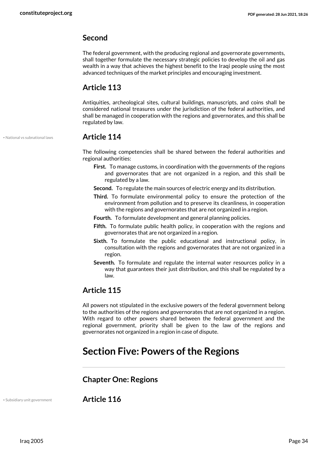#### **Second**

The federal government, with the producing regional and governorate governments, shall together formulate the necessary strategic policies to develop the oil and gas wealth in a way that achieves the highest benefit to the Iraqi people using the most advanced techniques of the market principles and encouraging investment.

# **Article 113**

Antiquities, archeological sites, cultural buildings, manuscripts, and coins shall be considered national treasures under the jurisdiction of the federal authorities, and shall be managed in cooperation with the regions and governorates, and this shall be regulated by law.

#### • National vs subnational laws **Article 114**

<span id="page-33-2"></span>The following competencies shall be shared between the federal authorities and regional authorities:

- **First.** To manage customs, in coordination with the governments of the regions and governorates that are not organized in a region, and this shall be regulated by a law.
- **Second.** To regulate the main sources of electric energy and its distribution.
- **Third.** To formulate environmental policy to ensure the protection of the environment from pollution and to preserve its cleanliness, in cooperation with the regions and governorates that are not organized in a region.
- **Fourth.** To formulate development and general planning policies.
- **Fifth.** To formulate public health policy, in cooperation with the regions and governorates that are not organized in a region.
- **Sixth.** To formulate the public educational and instructional policy, in consultation with the regions and governorates that are not organized in a region.
- **Seventh.** To formulate and regulate the internal water resources policy in a way that guarantees their just distribution, and this shall be regulated by a law.

### **Article 115**

All powers not stipulated in the exclusive powers of the federal government belong to the authorities of the regions and governorates that are not organized in a region. With regard to other powers shared between the federal government and the regional government, priority shall be given to the law of the regions and governorates not organized in a region in case of dispute.

# <span id="page-33-0"></span>**Section Five: Powers of the Regions**

#### <span id="page-33-3"></span><span id="page-33-1"></span>**Chapter One: Regions**

• Subsidiary unit government **Article 116**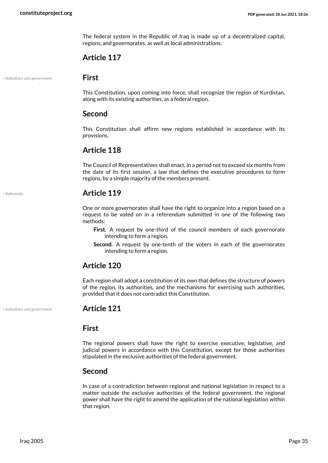The federal system in the Republic of Iraq is made up of a decentralized capital, regions, and governorates, as well as local administrations.

## **Article 117**

• Subsidiary unit government **First**

This Constitution, upon coming into force, shall recognize the region of Kurdistan, along with its existing authorities, as a federal region.

#### **Second**

This Constitution shall affirm new regions established in accordance with its provisions.

### **Article 118**

The Council of Representatives shall enact, in a period not to exceed six months from the date of its first session, a law that defines the executive procedures to form regions, by a simple majority of the members present.

# <span id="page-34-0"></span>• Referenda **Article 119**

One or more governorates shall have the right to organize into a region based on a request to be voted on in a referendum submitted in one of the following two methods:

- **First.** A request by one-third of the council members of each governorate intending to form a region.
- **Second.** A request by one-tenth of the voters in each of the governorates intending to form a region.

# **Article 120**

Each region shall adopt a constitution of its own that defines the structure of powers of the region, its authorities, and the mechanisms for exercising such authorities, provided that it does not contradict this Constitution.

#### • Subsidiary unit government **Article 121**

### <span id="page-34-1"></span>**First**

The regional powers shall have the right to exercise executive, legislative, and judicial powers in accordance with this Constitution, except for those authorities stipulated in the exclusive authorities of the federal government.

# **Second**

In case of a contradiction between regional and national legislation in respect to a matter outside the exclusive authorities of the federal government, the regional power shall have the right to amend the application of the national legislation within that region.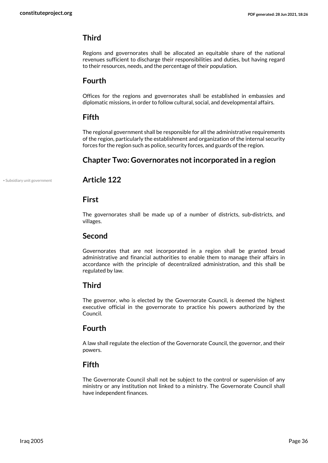## **Third**

Regions and governorates shall be allocated an equitable share of the national revenues sufficient to discharge their responsibilities and duties, but having regard to their resources, needs, and the percentage of their population.

# **Fourth**

Offices for the regions and governorates shall be established in embassies and diplomatic missions, in order to follow cultural, social, and developmental affairs.

# **Fifth**

The regional government shall be responsible for all the administrative requirements of the region, particularly the establishment and organization of the internal security forces for the region such as police, security forces, and guards of the region.

# <span id="page-35-0"></span>**Chapter Two: Governorates not incorporated in a region**

#### • Subsidiary unit government **Article 122**

# <span id="page-35-1"></span>**First**

The governorates shall be made up of a number of districts, sub-districts, and villages.

# **Second**

Governorates that are not incorporated in a region shall be granted broad administrative and financial authorities to enable them to manage their affairs in accordance with the principle of decentralized administration, and this shall be regulated by law.

# **Third**

The governor, who is elected by the Governorate Council, is deemed the highest executive official in the governorate to practice his powers authorized by the Council.

# **Fourth**

A law shall regulate the election of the Governorate Council, the governor, and their powers.

# **Fifth**

The Governorate Council shall not be subject to the control or supervision of any ministry or any institution not linked to a ministry. The Governorate Council shall have independent finances.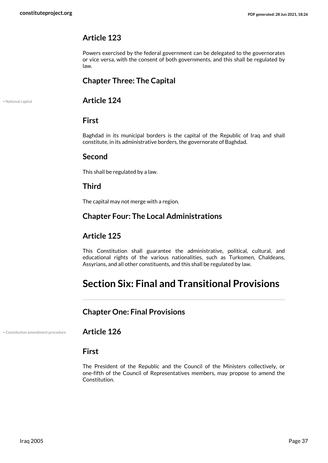# **Article 123**

Powers exercised by the federal government can be delegated to the governorates or vice versa, with the consent of both governments, and this shall be regulated by law.

# <span id="page-36-0"></span>**Chapter Three: The Capital**

<span id="page-36-5"></span>

• National capital **Article 124**

### **First**

Baghdad in its municipal borders is the capital of the Republic of Iraq and shall constitute, in its administrative borders, the governorate of Baghdad.

# **Second**

This shall be regulated by a law.

# **Third**

<span id="page-36-1"></span>The capital may not merge with a region.

# **Chapter Four: The Local Administrations**

# **Article 125**

This Constitution shall guarantee the administrative, political, cultural, and educational rights of the various nationalities, such as Turkomen, Chaldeans, Assyrians, and all other constituents, and this shall be regulated by law.

# <span id="page-36-2"></span>**Section Six: Final and Transitional Provisions**

# <span id="page-36-3"></span>**Chapter One: Final Provisions**

• Constitution amendment procedure **Article 126**

<span id="page-36-4"></span>

# **First**

The President of the Republic and the Council of the Ministers collectively, or one-fifth of the Council of Representatives members, may propose to amend the Constitution.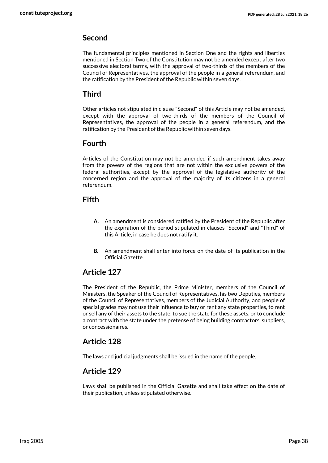## **Second**

The fundamental principles mentioned in Section One and the rights and liberties mentioned in Section Two of the Constitution may not be amended except after two successive electoral terms, with the approval of two-thirds of the members of the Council of Representatives, the approval of the people in a general referendum, and the ratification by the President of the Republic within seven days.

# **Third**

Other articles not stipulated in clause "Second" of this Article may not be amended, except with the approval of two-thirds of the members of the Council of Representatives, the approval of the people in a general referendum, and the ratification by the President of the Republic within seven days.

# **Fourth**

Articles of the Constitution may not be amended if such amendment takes away from the powers of the regions that are not within the exclusive powers of the federal authorities, except by the approval of the legislative authority of the concerned region and the approval of the majority of its citizens in a general referendum.

# **Fifth**

- **A.** An amendment is considered ratified by the President of the Republic after the expiration of the period stipulated in clauses "Second" and "Third" of this Article, in case he does not ratify it.
- **B.** An amendment shall enter into force on the date of its publication in the Official Gazette.

# **Article 127**

The President of the Republic, the Prime Minister, members of the Council of Ministers, the Speaker of the Council of Representatives, his two Deputies, members of the Council of Representatives, members of the Judicial Authority, and people of special grades may not use their influence to buy or rent any state properties, to rent or sell any of their assets to the state, to sue the state for these assets, or to conclude a contract with the state under the pretense of being building contractors, suppliers, or concessionaires.

# **Article 128**

The laws and judicial judgments shall be issued in the name of the people.

# **Article 129**

Laws shall be published in the Official Gazette and shall take effect on the date of their publication, unless stipulated otherwise.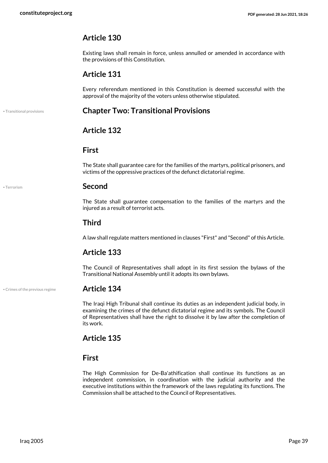# **Article 130**

Existing laws shall remain in force, unless annulled or amended in accordance with the provisions of this Constitution.

# **Article 131**

<span id="page-38-0"></span>Every referendum mentioned in this Constitution is deemed successful with the approval of the majority of the voters unless otherwise stipulated.

<span id="page-38-3"></span>• Transitional provisions **Chapter Two: Transitional Provisions**

# **Article 132**

### **First**

The State shall guarantee care for the families of the martyrs, political prisoners, and victims of the oppressive practices of the defunct dictatorial regime.

### <span id="page-38-2"></span>• Terrorism **Second**

The State shall guarantee compensation to the families of the martyrs and the injured as a result of terrorist acts.

# **Third**

A law shall regulate matters mentioned in clauses "First" and "Second" of this Article.

# **Article 133**

The Council of Representatives shall adopt in its first session the bylaws of the Transitional National Assembly until it adopts its own bylaws.

• Crimes of the previous regime **Article 134**

<span id="page-38-1"></span>The Iraqi High Tribunal shall continue its duties as an independent judicial body, in examining the crimes of the defunct dictatorial regime and its symbols. The Council of Representatives shall have the right to dissolve it by law after the completion of its work.

# **Article 135**

# **First**

The High Commission for De-Ba'athification shall continue its functions as an independent commission, in coordination with the judicial authority and the executive institutions within the framework of the laws regulating its functions. The Commission shall be attached to the Council of Representatives.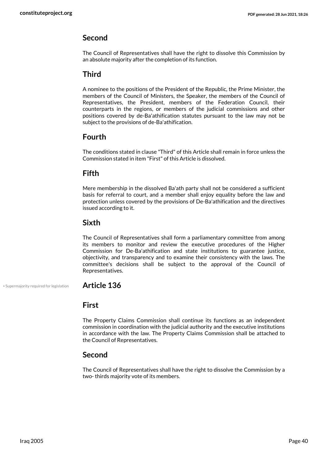## **Second**

The Council of Representatives shall have the right to dissolve this Commission by an absolute majority after the completion of its function.

# **Third**

A nominee to the positions of the President of the Republic, the Prime Minister, the members of the Council of Ministers, the Speaker, the members of the Council of Representatives, the President, members of the Federation Council, their counterparts in the regions, or members of the judicial commissions and other positions covered by de-Ba'athification statutes pursuant to the law may not be subject to the provisions of de-Ba'athification.

# **Fourth**

The conditions stated in clause "Third" of this Article shall remain in force unless the Commission stated in item "First" of this Article is dissolved.

# **Fifth**

Mere membership in the dissolved Ba'ath party shall not be considered a sufficient basis for referral to court, and a member shall enjoy equality before the law and protection unless covered by the provisions of De-Ba'athification and the directives issued according to it.

# **Sixth**

The Council of Representatives shall form a parliamentary committee from among its members to monitor and review the executive procedures of the Higher Commission for De-Ba'athification and state institutions to guarantee justice, objectivity, and transparency and to examine their consistency with the laws. The committee's decisions shall be subject to the approval of the Council of Representatives.

#### • Supermajority required for legislation **Article 136**

### <span id="page-39-0"></span>**First**

The Property Claims Commission shall continue its functions as an independent commission in coordination with the judicial authority and the executive institutions in accordance with the law. The Property Claims Commission shall be attached to the Council of Representatives.

# **Second**

The Council of Representatives shall have the right to dissolve the Commission by a two- thirds majority vote of its members.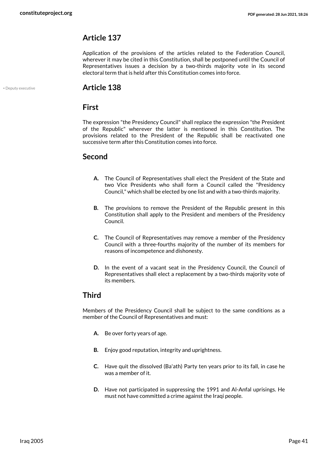# **Article 137**

Application of the provisions of the articles related to the Federation Council, wherever it may be cited in this Constitution, shall be postponed until the Council of Representatives issues a decision by a two-thirds majority vote in its second electoral term that is held after this Constitution comes into force.

<span id="page-40-0"></span>

### • Deputy executive **Article 138**

#### **First**

The expression "the Presidency Council" shall replace the expression "the President of the Republic" wherever the latter is mentioned in this Constitution. The provisions related to the President of the Republic shall be reactivated one successive term after this Constitution comes into force.

# **Second**

- **A.** The Council of Representatives shall elect the President of the State and two Vice Presidents who shall form a Council called the "Presidency Council," which shall be elected by one list and with a two-thirds majority.
- **B.** The provisions to remove the President of the Republic present in this Constitution shall apply to the President and members of the Presidency Council.
- **C.** The Council of Representatives may remove a member of the Presidency Council with a three-fourths majority of the number of its members for reasons of incompetence and dishonesty.
- **D.** In the event of a vacant seat in the Presidency Council, the Council of Representatives shall elect a replacement by a two-thirds majority vote of its members.

# **Third**

Members of the Presidency Council shall be subject to the same conditions as a member of the Council of Representatives and must:

- **A.** Be over forty years of age.
- **B.** Enjoy good reputation, integrity and uprightness.
- **C.** Have quit the dissolved (Ba'ath) Party ten years prior to its fall, in case he was a member of it.
- **D.** Have not participated in suppressing the 1991 and Al-Anfal uprisings. He must not have committed a crime against the Iraqi people.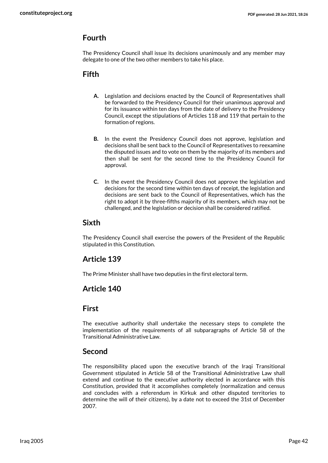# **Fourth**

The Presidency Council shall issue its decisions unanimously and any member may delegate to one of the two other members to take his place.

# **Fifth**

- **A.** Legislation and decisions enacted by the Council of Representatives shall be forwarded to the Presidency Council for their unanimous approval and for its issuance within ten days from the date of delivery to the Presidency Council, except the stipulations of Articles 118 and 119 that pertain to the formation of regions.
- **B.** In the event the Presidency Council does not approve, legislation and decisions shall be sent back to the Council of Representatives to reexamine the disputed issues and to vote on them by the majority of its members and then shall be sent for the second time to the Presidency Council for approval.
- **C.** In the event the Presidency Council does not approve the legislation and decisions for the second time within ten days of receipt, the legislation and decisions are sent back to the Council of Representatives, which has the right to adopt it by three-fifths majority of its members, which may not be challenged, and the legislation or decision shall be considered ratified.

#### **Sixth**

The Presidency Council shall exercise the powers of the President of the Republic stipulated in this Constitution.

### **Article 139**

The Prime Minister shall have two deputies in the first electoral term.

# **Article 140**

### **First**

The executive authority shall undertake the necessary steps to complete the implementation of the requirements of all subparagraphs of Article 58 of the Transitional Administrative Law.

### **Second**

The responsibility placed upon the executive branch of the Iraqi Transitional Government stipulated in Article 58 of the Transitional Administrative Law shall extend and continue to the executive authority elected in accordance with this Constitution, provided that it accomplishes completely (normalization and census and concludes with a referendum in Kirkuk and other disputed territories to determine the will of their citizens), by a date not to exceed the 31st of December 2007.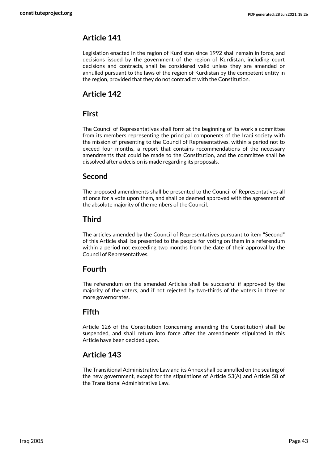# **Article 141**

Legislation enacted in the region of Kurdistan since 1992 shall remain in force, and decisions issued by the government of the region of Kurdistan, including court decisions and contracts, shall be considered valid unless they are amended or annulled pursuant to the laws of the region of Kurdistan by the competent entity in the region, provided that they do not contradict with the Constitution.

# **Article 142**

# **First**

The Council of Representatives shall form at the beginning of its work a committee from its members representing the principal components of the Iraqi society with the mission of presenting to the Council of Representatives, within a period not to exceed four months, a report that contains recommendations of the necessary amendments that could be made to the Constitution, and the committee shall be dissolved after a decision is made regarding its proposals.

# **Second**

The proposed amendments shall be presented to the Council of Representatives all at once for a vote upon them, and shall be deemed approved with the agreement of the absolute majority of the members of the Council.

# **Third**

The articles amended by the Council of Representatives pursuant to item "Second" of this Article shall be presented to the people for voting on them in a referendum within a period not exceeding two months from the date of their approval by the Council of Representatives.

# **Fourth**

The referendum on the amended Articles shall be successful if approved by the majority of the voters, and if not rejected by two-thirds of the voters in three or more governorates.

# **Fifth**

Article 126 of the Constitution (concerning amending the Constitution) shall be suspended, and shall return into force after the amendments stipulated in this Article have been decided upon.

# **Article 143**

The Transitional Administrative Law and its Annex shall be annulled on the seating of the new government, except for the stipulations of Article 53(A) and Article 58 of the Transitional Administrative Law.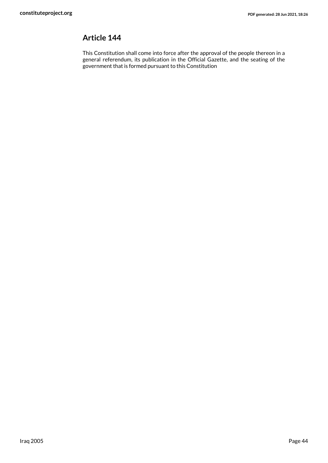# **Article 144**

This Constitution shall come into force after the approval of the people thereon in a general referendum, its publication in the Official Gazette, and the seating of the government that is formed pursuant to this Constitution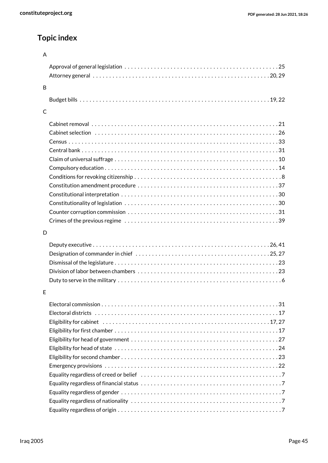# **Topic index**

| $\overline{A}$ |  |
|----------------|--|
|                |  |
|                |  |
|                |  |
| B              |  |
|                |  |
| C              |  |
|                |  |
|                |  |
|                |  |
|                |  |
|                |  |
|                |  |
|                |  |
|                |  |
|                |  |
|                |  |
|                |  |
|                |  |
|                |  |
| D              |  |
|                |  |
|                |  |
|                |  |
|                |  |
|                |  |
| F              |  |
|                |  |
|                |  |
|                |  |
|                |  |
|                |  |
|                |  |
|                |  |
|                |  |
|                |  |
|                |  |
|                |  |

Equality regardless of gender . . . . . . . . . . . . . . . . . . . . . . . . . . . . . . . . . . . . . . . . . . . . . . . . . [7](#page-6-5) Equality regardless of nationality . . . . . . . . . . . . . . . . . . . . . . . . . . . . . . . . . . . . . . . . . . . . . . [7](#page-6-6) Equality regardless of origin . . . . . . . . . . . . . . . . . . . . . . . . . . . . . . . . . . . . . . . . . . . . . . . . . . [7](#page-6-7)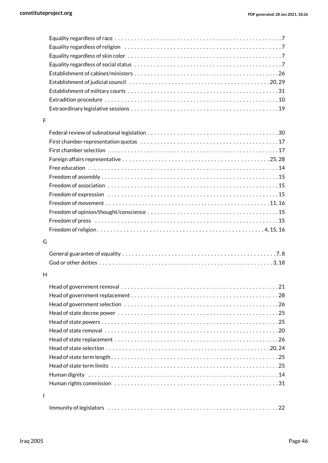| F            |                                                                                                         |
|--------------|---------------------------------------------------------------------------------------------------------|
|              |                                                                                                         |
|              |                                                                                                         |
|              |                                                                                                         |
|              |                                                                                                         |
|              |                                                                                                         |
|              |                                                                                                         |
|              |                                                                                                         |
|              |                                                                                                         |
|              |                                                                                                         |
|              | Freedom of movement $\dots\dots\dots\dots\dots\dots\dots\dots\dots\dots\dots\dots\dots\dots\dots\dots$  |
|              |                                                                                                         |
|              |                                                                                                         |
|              |                                                                                                         |
| G            |                                                                                                         |
|              |                                                                                                         |
|              | God or other deities $\dots\dots\dots\dots\dots\dots\dots\dots\dots\dots\dots\dots\dots\dots\dots\dots$ |
| H            |                                                                                                         |
|              |                                                                                                         |
|              |                                                                                                         |
|              |                                                                                                         |
|              |                                                                                                         |
|              |                                                                                                         |
|              |                                                                                                         |
|              |                                                                                                         |
|              |                                                                                                         |
|              |                                                                                                         |
|              |                                                                                                         |
|              |                                                                                                         |
|              |                                                                                                         |
|              |                                                                                                         |
| $\mathsf{I}$ |                                                                                                         |
|              |                                                                                                         |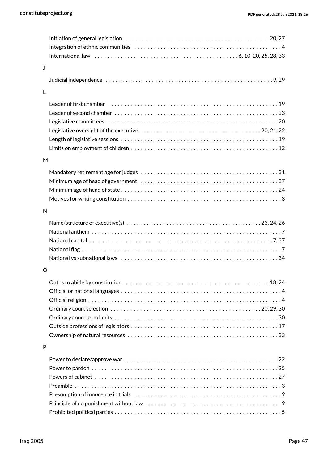| J            |                                                                                                                  |
|--------------|------------------------------------------------------------------------------------------------------------------|
|              |                                                                                                                  |
|              |                                                                                                                  |
| $\mathsf{L}$ |                                                                                                                  |
|              |                                                                                                                  |
|              |                                                                                                                  |
|              |                                                                                                                  |
|              |                                                                                                                  |
|              |                                                                                                                  |
|              |                                                                                                                  |
| M            |                                                                                                                  |
|              |                                                                                                                  |
|              |                                                                                                                  |
|              |                                                                                                                  |
|              |                                                                                                                  |
|              |                                                                                                                  |
| $\mathsf{N}$ |                                                                                                                  |
|              |                                                                                                                  |
|              |                                                                                                                  |
|              |                                                                                                                  |
|              |                                                                                                                  |
|              | National vs subnational laws enterpretational contracts of the set of the set of the set of the set of the set o |
| $\circ$      |                                                                                                                  |
|              |                                                                                                                  |
|              |                                                                                                                  |
|              |                                                                                                                  |
|              |                                                                                                                  |
|              |                                                                                                                  |
|              |                                                                                                                  |
|              |                                                                                                                  |
|              |                                                                                                                  |
| P            |                                                                                                                  |
|              |                                                                                                                  |
|              |                                                                                                                  |
|              |                                                                                                                  |
|              |                                                                                                                  |
|              |                                                                                                                  |
|              |                                                                                                                  |
|              |                                                                                                                  |
|              |                                                                                                                  |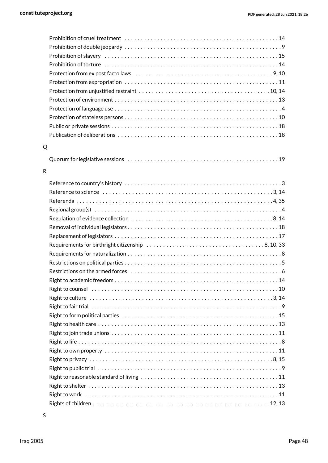| Q            |                                                                                                                   |
|--------------|-------------------------------------------------------------------------------------------------------------------|
|              |                                                                                                                   |
|              |                                                                                                                   |
| $\mathsf{R}$ |                                                                                                                   |
|              |                                                                                                                   |
|              |                                                                                                                   |
|              |                                                                                                                   |
|              |                                                                                                                   |
|              |                                                                                                                   |
|              |                                                                                                                   |
|              |                                                                                                                   |
|              |                                                                                                                   |
|              |                                                                                                                   |
|              |                                                                                                                   |
|              |                                                                                                                   |
|              | Right to academic freedom $\dots\dots\dots\dots\dots\dots\dots\dots\dots\dots\dots\dots\dots\dots\dots\dots\dots$ |
|              |                                                                                                                   |
|              | Right to culture $\dots\dots\dots\dots\dots\dots\dots\dots\dots\dots\dots\dots\dots\dots\dots\dots\dots$          |
|              |                                                                                                                   |
|              |                                                                                                                   |
|              |                                                                                                                   |
|              |                                                                                                                   |
|              |                                                                                                                   |
|              |                                                                                                                   |
|              |                                                                                                                   |
|              |                                                                                                                   |
|              |                                                                                                                   |
|              |                                                                                                                   |
|              |                                                                                                                   |
|              |                                                                                                                   |